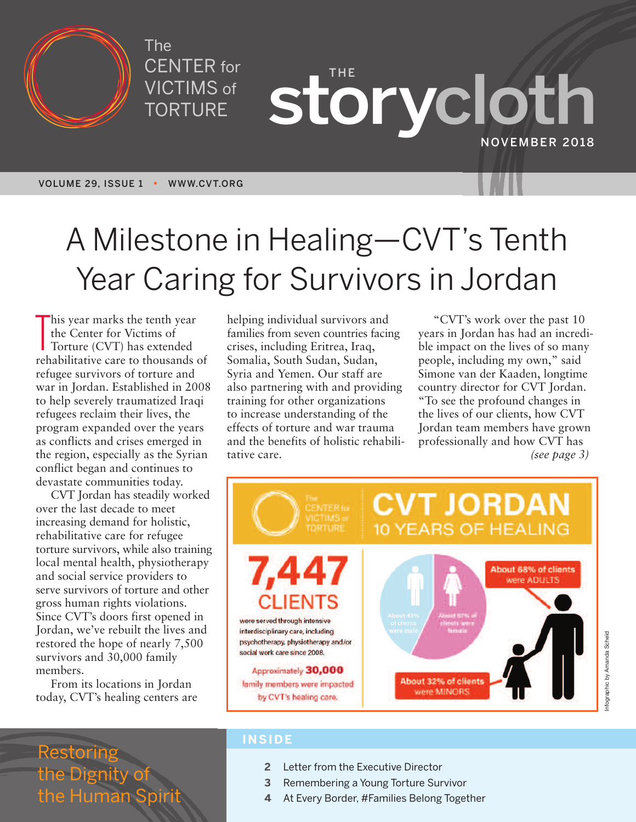

The CENTER for VICTIMS of TORTURE

**THE storycloth NOVEMBER 2018**

**VOLUME 29, ISSUE 1 • WWW.CVT.ORG**

# A Milestone in Healing—CVT' s Tenth Year Caring for Survivors in Jordan

This year marks the tenth year<br>the Center for Victims of<br>Torture (CVT) has extended<br>rehabilitative care to thousands of his year marks the tenth year the Center for Victims of Torture (CVT) has extended refugee survivors of torture and war in Jordan. Established in 2008 to help severely traumatized Iraqi refugees reclaim their lives, the program expanded over the years as conflicts and crises emerged in the region, especially as the Syrian conflict began and continues to devastate communities today.

CVT Jordan has steadily worked over the last decade to meet increasing demand for holistic, rehabilitative care for refugee torture survivors, while also training local mental health, physiotherapy and social service providers to serve survivors of torture and other gross human rights violations. Since CVT's doors first opened in Jordan, we've rebuilt the lives and restored the hope of nearly 7,500 survivors and 30,000 family members.

From its locations in Jordan today, CVT's healing centers are helping individual survivors and families from seven countries facing crises, including Eritrea, Iraq, Somalia, South Sudan, Sudan, Syria and Yemen. Our staff are also partnering with and providing training for other organizations to increase understanding of the effects of torture and war trauma and the benefits of holistic rehabilitative care.

"CVT's work over the past 10 years in Jordan has had an incredible impact on the lives of so many people, including my own," said Simone van der Kaaden, longtime country director for CVT Jordan. "To see the profound changes in the lives of our clients, how CVT Jordan team members have grown professionally and how CVT has *(see page 3)*



### Restoring the Dignity of the Human Sp

#### **INSIDE**

- **2** Letter from the Executive Director
- **3** Remembering a Young Torture Survivor
- **4** At Every Border, #Families Belong Together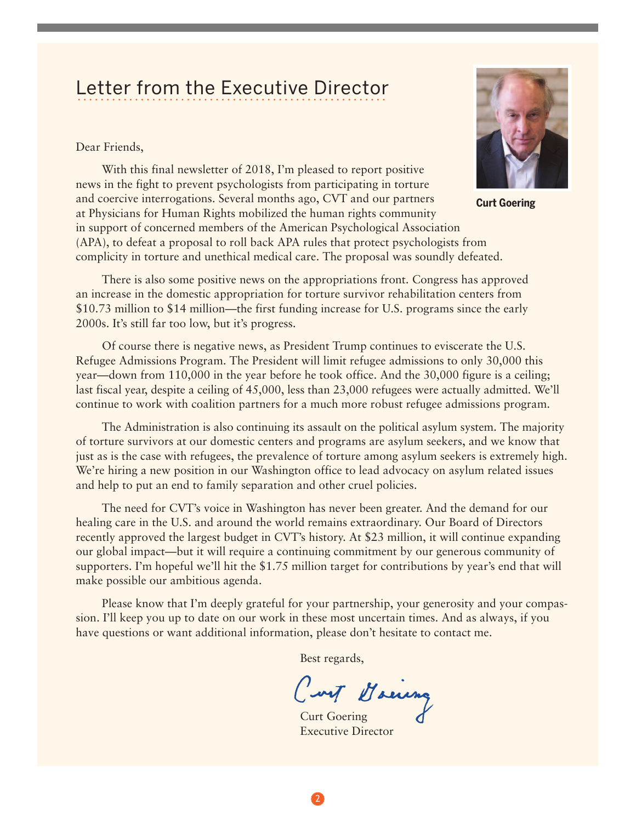#### Letter from the Executive Director LULLUI TIUITI LIIU LAUUULIVU DIIUULUI

Dear Friends,

With this final newsletter of 2018, I'm pleased to report positive news in the fight to prevent psychologists from participating in torture and coercive interrogations. Several months ago, CVT and our partners at Physicians for Human Rights mobilized the human rights community in support of concerned members of the American Psychological Association (APA), to defeat a proposal to roll back APA rules that protect psychologists from complicity in torture and unethical medical care. The proposal was soundly defeated.



**Curt Goering**

There is also some positive news on the appropriations front. Congress has approved an increase in the domestic appropriation for torture survivor rehabilitation centers from \$10.73 million to \$14 million—the first funding increase for U.S. programs since the early 2000s. It's still far too low, but it's progress.

Of course there is negative news, as President Trump continues to eviscerate the U.S. Refugee Admissions Program. The President will limit refugee admissions to only 30,000 this year—down from 110,000 in the year before he took office. And the 30,000 figure is a ceiling; last fiscal year, despite a ceiling of 45,000, less than 23,000 refugees were actually admitted. We'll continue to work with coalition partners for a much more robust refugee admissions program.

The Administration is also continuing its assault on the political asylum system. The majority of torture survivors at our domestic centers and programs are asylum seekers, and we know that just as is the case with refugees, the prevalence of torture among asylum seekers is extremely high. We're hiring a new position in our Washington office to lead advocacy on asylum related issues and help to put an end to family separation and other cruel policies.

The need for CVT's voice in Washington has never been greater. And the demand for our healing care in the U.S. and around the world remains extraordinary. Our Board of Directors recently approved the largest budget in CVT's history. At \$23 million, it will continue expanding our global impact—but it will require a continuing commitment by our generous community of supporters. I'm hopeful we'll hit the \$1.75 million target for contributions by year's end that will make possible our ambitious agenda.

Please know that I'm deeply grateful for your partnership, your generosity and your compassion. I'll keep you up to date on our work in these most uncertain times. And as always, if you have questions or want additional information, please don't hesitate to contact me.

Best regards,

Curt Maina

Executive Director

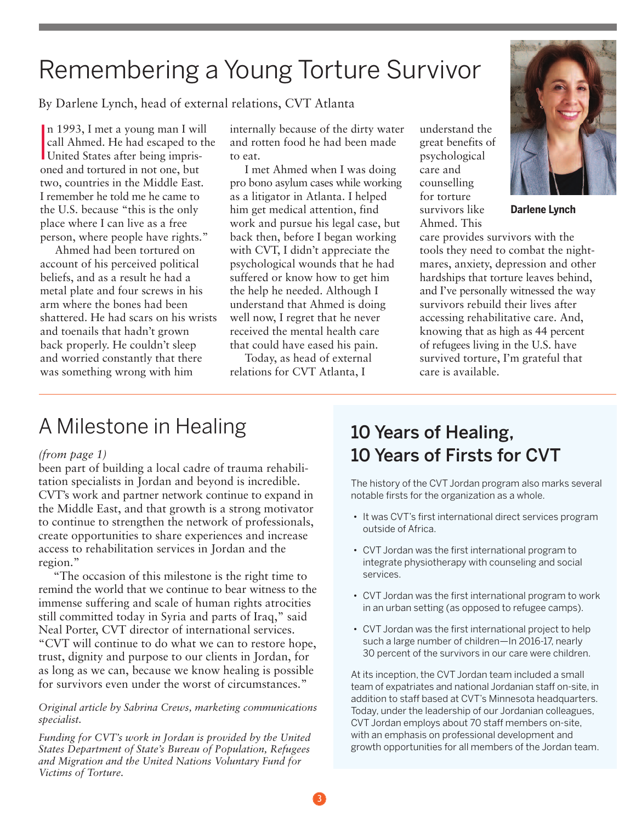# Remembering a Young Torture Survivor

By Darlene Lynch, head of external relations, CVT Atlanta

I n 1993, I met a young man I will call Ahmed. He had escaped to the United States after being imprisoned and tortured in not one, but two, countries in the Middle East. I remember he told me he came to the U.S. because "this is the only place where I can live as a free person, where people have rights."

Ahmed had been tortured on account of his perceived political beliefs, and as a result he had a metal plate and four screws in his arm where the bones had been shattered. He had scars on his wrists and toenails that hadn't grown back properly. He couldn't sleep and worried constantly that there was something wrong with him

internally because of the dirty water and rotten food he had been made to eat.

I met Ahmed when I was doing pro bono asylum cases while working as a litigator in Atlanta. I helped him get medical attention, find work and pursue his legal case, but back then, before I began working with CVT, I didn't appreciate the psychological wounds that he had suffered or know how to get him the help he needed. Although I understand that Ahmed is doing well now, I regret that he never received the mental health care that could have eased his pain.

Today, as head of external relations for CVT Atlanta, I

understand the great benefits of psychological care and counselling for torture survivors like Ahmed. This



**Darlene Lynch**

care provides survivors with the tools they need to combat the nightmares, anxiety, depression and other hardships that torture leaves behind, and I've personally witnessed the way survivors rebuild their lives after accessing rehabilitative care. And, knowing that as high as 44 percent of refugees living in the U.S. have survived torture, I'm grateful that care is available.

## A Milestone in Healing

#### *(from page 1)*

been part of building a local cadre of trauma rehabilitation specialists in Jordan and beyond is incredible. CVT's work and partner network continue to expand in the Middle East, and that growth is a strong motivator to continue to strengthen the network of professionals, create opportunities to share experiences and increase access to rehabilitation services in Jordan and the region."

"The occasion of this milestone is the right time to remind the world that we continue to bear witness to the immense suffering and scale of human rights atrocities still committed today in Syria and parts of Iraq," said Neal Porter, CVT director of international services. "CVT will continue to do what we can to restore hope, trust, dignity and purpose to our clients in Jordan, for as long as we can, because we know healing is possible for survivors even under the worst of circumstances."

#### *Original article by Sabrina Crews, marketing communications specialist.*

*Funding for CVT's work in Jordan is provided by the United States Department of State's Bureau of Population, Refugees and Migration and the United Nations Voluntary Fund for Victims of Torture.*

### **10 Years of Healing, 10 Years of Firsts for CVT**

The history of the CVT Jordan program also marks several notable firsts for the organization as a whole.

- It was CVT's first international direct services program outside of Africa.
- CVT Jordan was the first international program to integrate physiotherapy with counseling and social services.
- CVT Jordan was the first international program to work in an urban setting (as opposed to refugee camps).
- CVT Jordan was the first international project to help such a large number of children—In 2016-17, nearly 30 percent of the survivors in our care were children.

At its inception, the CVT Jordan team included a small team of expatriates and national Jordanian staff on-site, in addition to staff based at CVT's Minnesota headquarters. Today, under the leadership of our Jordanian colleagues, CVT Jordan employs about 70 staff members on-site, with an emphasis on professional development and growth opportunities for all members of the Jordan team.